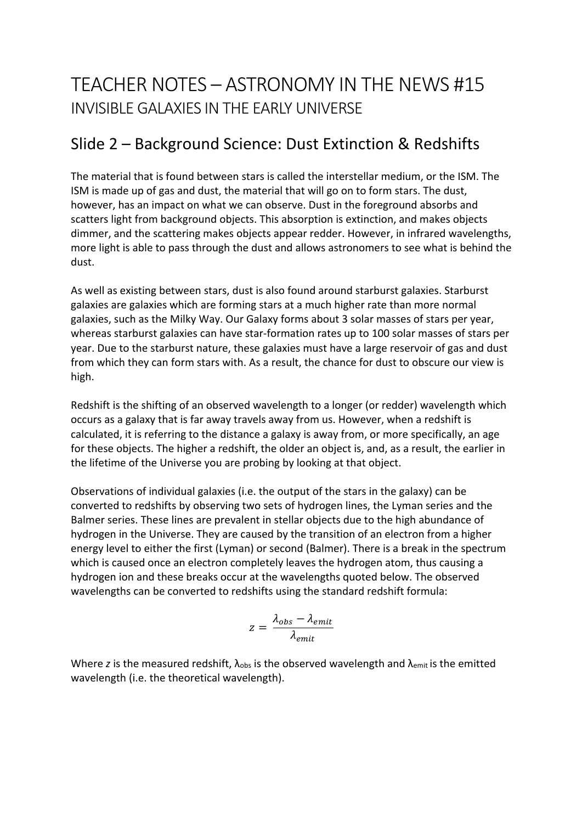## TEACHER NOTES – ASTRONOMY IN THE NEWS #15 INVISIBLE GALAXIES IN THE EARLY UNIVERSE

### Slide 2 – Background Science: Dust Extinction & Redshifts

The material that is found between stars is called the interstellar medium, or the ISM. The ISM is made up of gas and dust, the material that will go on to form stars. The dust, however, has an impact on what we can observe. Dust in the foreground absorbs and scatters light from background objects. This absorption is extinction, and makes objects dimmer, and the scattering makes objects appear redder. However, in infrared wavelengths, more light is able to pass through the dust and allows astronomers to see what is behind the dust.

As well as existing between stars, dust is also found around starburst galaxies. Starburst galaxies are galaxies which are forming stars at a much higher rate than more normal galaxies, such as the Milky Way. Our Galaxy forms about 3 solar masses of stars per year, whereas starburst galaxies can have star-formation rates up to 100 solar masses of stars per year. Due to the starburst nature, these galaxies must have a large reservoir of gas and dust from which they can form stars with. As a result, the chance for dust to obscure our view is high.

Redshift is the shifting of an observed wavelength to a longer (or redder) wavelength which occurs as a galaxy that is far away travels away from us. However, when a redshift is calculated, it is referring to the distance a galaxy is away from, or more specifically, an age for these objects. The higher a redshift, the older an object is, and, as a result, the earlier in the lifetime of the Universe you are probing by looking at that object.

Observations of individual galaxies (i.e. the output of the stars in the galaxy) can be converted to redshifts by observing two sets of hydrogen lines, the Lyman series and the Balmer series. These lines are prevalent in stellar objects due to the high abundance of hydrogen in the Universe. They are caused by the transition of an electron from a higher energy level to either the first (Lyman) or second (Balmer). There is a break in the spectrum which is caused once an electron completely leaves the hydrogen atom, thus causing a hydrogen ion and these breaks occur at the wavelengths quoted below. The observed wavelengths can be converted to redshifts using the standard redshift formula:

$$
z = \frac{\lambda_{obs} - \lambda_{emit}}{\lambda_{emit}}
$$

Where *z* is the measured redshift,  $\lambda_{obs}$  is the observed wavelength and  $\lambda_{emit}$  is the emitted wavelength (i.e. the theoretical wavelength).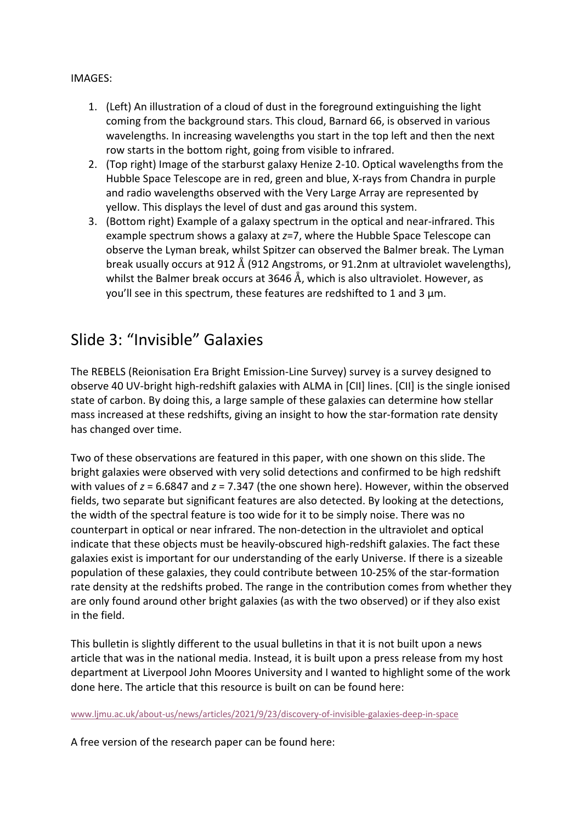#### IMAGES:

- 1. (Left) An illustration of a cloud of dust in the foreground extinguishing the light coming from the background stars. This cloud, Barnard 66, is observed in various wavelengths. In increasing wavelengths you start in the top left and then the next row starts in the bottom right, going from visible to infrared.
- 2. (Top right) Image of the starburst galaxy Henize 2-10. Optical wavelengths from the Hubble Space Telescope are in red, green and blue, X-rays from Chandra in purple and radio wavelengths observed with the Very Large Array are represented by yellow. This displays the level of dust and gas around this system.
- 3. (Bottom right) Example of a galaxy spectrum in the optical and near-infrared. This example spectrum shows a galaxy at *z*=7, where the Hubble Space Telescope can observe the Lyman break, whilst Spitzer can observed the Balmer break. The Lyman break usually occurs at 912 Å (912 Angstroms, or 91.2nm at ultraviolet wavelengths), whilst the Balmer break occurs at 3646 Å, which is also ultraviolet. However, as you'll see in this spectrum, these features are redshifted to 1 and 3 μm.

### Slide 3: "Invisible" Galaxies

The REBELS (Reionisation Era Bright Emission-Line Survey) survey is a survey designed to observe 40 UV-bright high-redshift galaxies with ALMA in [CII] lines. [CII] is the single ionised state of carbon. By doing this, a large sample of these galaxies can determine how stellar mass increased at these redshifts, giving an insight to how the star-formation rate density has changed over time.

Two of these observations are featured in this paper, with one shown on this slide. The bright galaxies were observed with very solid detections and confirmed to be high redshift with values of *z* = 6.6847 and *z* = 7.347 (the one shown here). However, within the observed fields, two separate but significant features are also detected. By looking at the detections, the width of the spectral feature is too wide for it to be simply noise. There was no counterpart in optical or near infrared. The non-detection in the ultraviolet and optical indicate that these objects must be heavily-obscured high-redshift galaxies. The fact these galaxies exist is important for our understanding of the early Universe. If there is a sizeable population of these galaxies, they could contribute between 10-25% of the star-formation rate density at the redshifts probed. The range in the contribution comes from whether they are only found around other bright galaxies (as with the two observed) or if they also exist in the field.

This bulletin is slightly different to the usual bulletins in that it is not built upon a news article that was in the national media. Instead, it is built upon a press release from my host department at Liverpool John Moores University and I wanted to highlight some of the work done here. The article that this resource is built on can be found here:

www.ljmu.ac.uk/about-us/news/articles/2021/9/23/discovery-of-invisible-galaxies-deep-in-space

A free version of the research paper can be found here: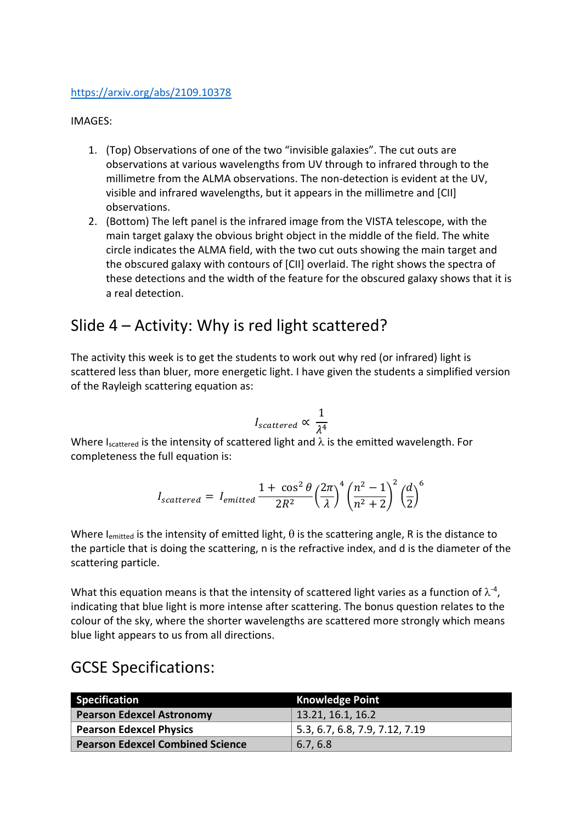#### https://arxiv.org/abs/2109.10378

#### IMAGES:

- 1. (Top) Observations of one of the two "invisible galaxies". The cut outs are observations at various wavelengths from UV through to infrared through to the millimetre from the ALMA observations. The non-detection is evident at the UV, visible and infrared wavelengths, but it appears in the millimetre and [CII] observations.
- 2. (Bottom) The left panel is the infrared image from the VISTA telescope, with the main target galaxy the obvious bright object in the middle of the field. The white circle indicates the ALMA field, with the two cut outs showing the main target and the obscured galaxy with contours of [CII] overlaid. The right shows the spectra of these detections and the width of the feature for the obscured galaxy shows that it is a real detection.

### Slide 4 – Activity: Why is red light scattered?

The activity this week is to get the students to work out why red (or infrared) light is scattered less than bluer, more energetic light. I have given the students a simplified version of the Rayleigh scattering equation as:

$$
I_{scattered} \propto \frac{1}{\lambda^4}
$$

Where Iscattered is the intensity of scattered light and  $\lambda$  is the emitted wavelength. For completeness the full equation is:

$$
I_{scattered} = I_{emitted} \frac{1 + \cos^2 \theta}{2R^2} \left(\frac{2\pi}{\lambda}\right)^4 \left(\frac{n^2 - 1}{n^2 + 2}\right)^2 \left(\frac{d}{2}\right)^6
$$

Where I<sub>emitted</sub> is the intensity of emitted light,  $\theta$  is the scattering angle, R is the distance to the particle that is doing the scattering, n is the refractive index, and d is the diameter of the scattering particle.

What this equation means is that the intensity of scattered light varies as a function of  $\lambda^{\text{-}4}$ , indicating that blue light is more intense after scattering. The bonus question relates to the colour of the sky, where the shorter wavelengths are scattered more strongly which means blue light appears to us from all directions.

### GCSE Specifications:

| <b>Specification</b>                    | <b>Knowledge Point</b>         |
|-----------------------------------------|--------------------------------|
| <b>Pearson Edexcel Astronomy</b>        | 13.21, 16.1, 16.2              |
| <b>Pearson Edexcel Physics</b>          | 5.3, 6.7, 6.8, 7.9, 7.12, 7.19 |
| <b>Pearson Edexcel Combined Science</b> | 6.7, 6.8                       |